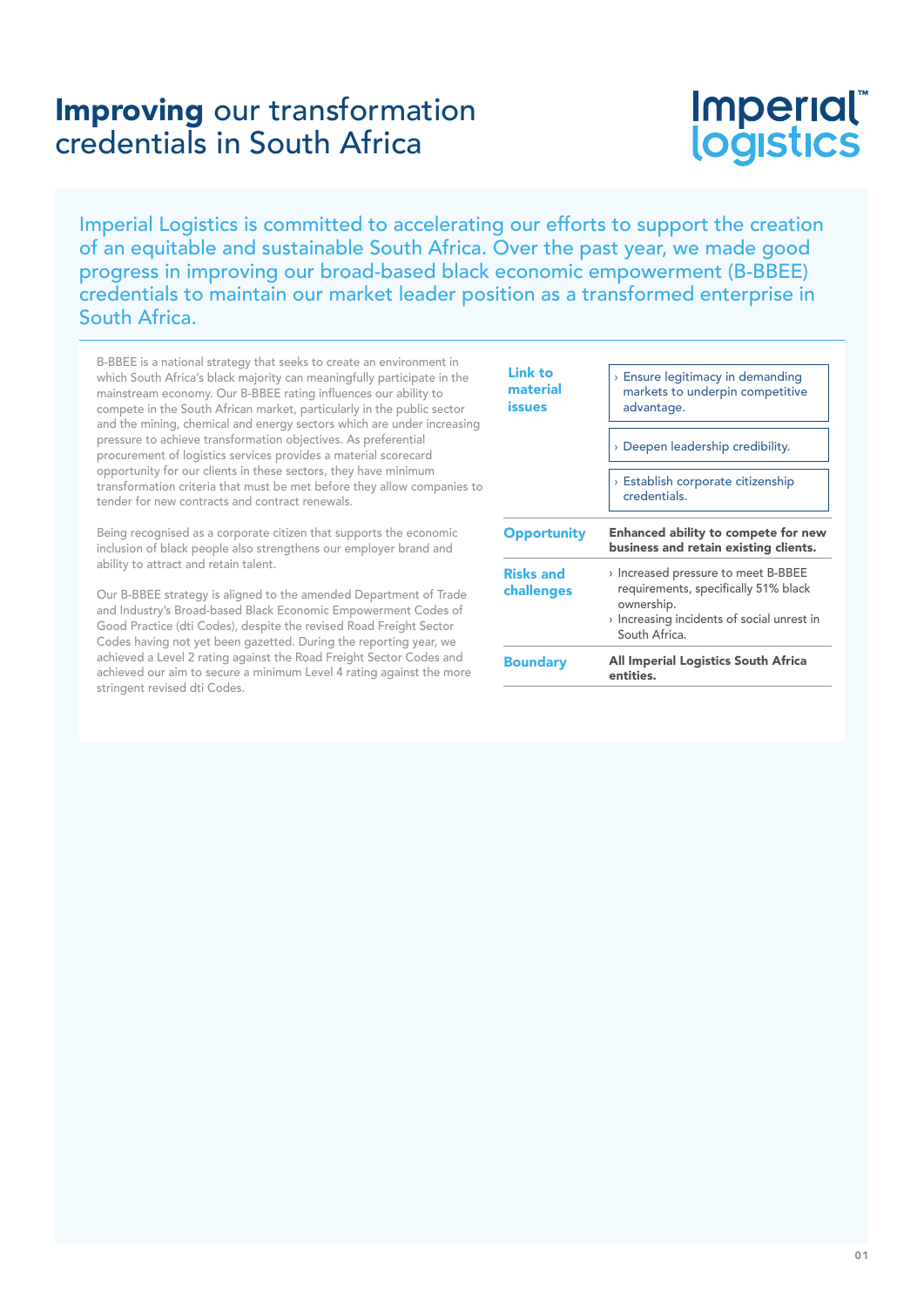# Imperial logistics

Imperial Logistics is committed to accelerating our efforts to support the creation of an equitable and sustainable South Africa. Over the past year, we made good progress in improving our broad-based black economic empowerment (B-BBEE) credentials to maintain our market leader position as a transformed enterprise in South Africa.

B-BBEE is a national strategy that seeks to create an environment in which South Africa's black majority can meaningfully participate in the mainstream economy. Our B-BBEE rating influences our ability to compete in the South African market, particularly in the public sector and the mining, chemical and energy sectors which are under increasing pressure to achieve transformation objectives. As preferential procurement of logistics services provides a material scorecard opportunity for our clients in these sectors, they have minimum transformation criteria that must be met before they allow companies to tender for new contracts and contract renewals.

Being recognised as a corporate citizen that supports the economic inclusion of black people also strengthens our employer brand and ability to attract and retain talent.

Our B-BBEE strategy is aligned to the amended Department of Trade and Industry's Broad-based Black Economic Empowerment Codes of Good Practice (dti Codes), despite the revised Road Freight Sector Codes having not yet been gazetted. During the reporting year, we achieved a Level 2 rating against the Road Freight Sector Codes and achieved our aim to secure a minimum Level 4 rating against the more stringent revised dti Codes.

| <b>Boundary</b>                | ownership.<br>Increasing incidents of social unrest in<br>South Africa.<br>All Imperial Logistics South Africa |  |  |  |
|--------------------------------|----------------------------------------------------------------------------------------------------------------|--|--|--|
| <b>Risks and</b><br>challenges | > Increased pressure to meet B-BBEE<br>requirements, specifically 51% black                                    |  |  |  |
| <b>Opportunity</b>             | Enhanced ability to compete for new<br>business and retain existing clients.                                   |  |  |  |
|                                | <b>Establish corporate citizenship</b><br>credentials.                                                         |  |  |  |
|                                | > Deepen leadership credibility.                                                                               |  |  |  |
| Link to<br>material<br>issues  | $\rightarrow$ Ensure legitimacy in demanding<br>markets to underpin competitive<br>advantage.                  |  |  |  |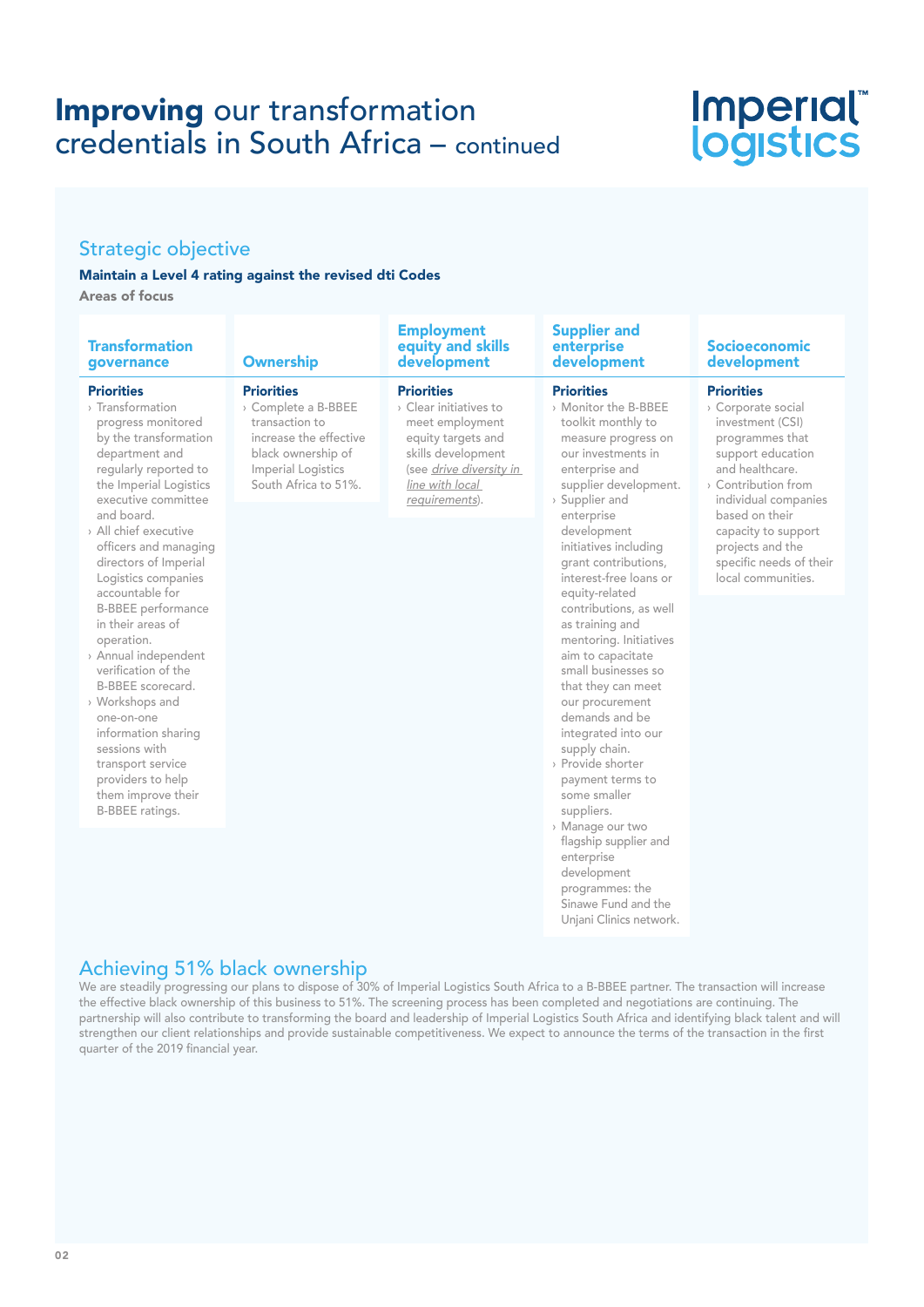# Imperial®<br>logistics

### Strategic objective

#### Maintain a Level 4 rating against the revised dti Codes

Areas of focus

| <b>Transformation</b><br>governance                                                                                                                                                                                                                                                                                                                                                                                                                                                                                                                                                                                 | <b>Ownership</b>                                                                                                                                         | <b>Employment</b><br>equity and skills<br>development                                                                                                                      | <b>Supplier and</b><br>enterprise<br>development                                                                                                                                                                                                                                                                                                                                                                                                                                                                                                                                                                                                                                                                                                | <b>Socioeconomic</b><br>development                                                                                                                                                                                                                                                             |
|---------------------------------------------------------------------------------------------------------------------------------------------------------------------------------------------------------------------------------------------------------------------------------------------------------------------------------------------------------------------------------------------------------------------------------------------------------------------------------------------------------------------------------------------------------------------------------------------------------------------|----------------------------------------------------------------------------------------------------------------------------------------------------------|----------------------------------------------------------------------------------------------------------------------------------------------------------------------------|-------------------------------------------------------------------------------------------------------------------------------------------------------------------------------------------------------------------------------------------------------------------------------------------------------------------------------------------------------------------------------------------------------------------------------------------------------------------------------------------------------------------------------------------------------------------------------------------------------------------------------------------------------------------------------------------------------------------------------------------------|-------------------------------------------------------------------------------------------------------------------------------------------------------------------------------------------------------------------------------------------------------------------------------------------------|
| <b>Priorities</b><br>> Transformation<br>progress monitored<br>by the transformation<br>department and<br>regularly reported to<br>the Imperial Logistics<br>executive committee<br>and board.<br>> All chief executive<br>officers and managing<br>directors of Imperial<br>Logistics companies<br>accountable for<br><b>B-BBEE</b> performance<br>in their areas of<br>operation.<br>> Annual independent<br>verification of the<br>B-BBEE scorecard.<br>> Workshops and<br>one-on-one<br>information sharing<br>sessions with<br>transport service<br>providers to help<br>them improve their<br>B-BBEE ratings. | <b>Priorities</b><br>> Complete a B-BBEE<br>transaction to<br>increase the effective<br>black ownership of<br>Imperial Logistics<br>South Africa to 51%. | <b>Priorities</b><br>> Clear initiatives to<br>meet employment<br>equity targets and<br>skills development<br>(see drive diversity in<br>line with local<br>requirements). | <b>Priorities</b><br>> Monitor the B-BBEE<br>toolkit monthly to<br>measure progress on<br>our investments in<br>enterprise and<br>supplier development.<br>> Supplier and<br>enterprise<br>development<br>initiatives including<br>grant contributions,<br>interest-free loans or<br>equity-related<br>contributions, as well<br>as training and<br>mentoring. Initiatives<br>aim to capacitate<br>small businesses so<br>that they can meet<br>our procurement<br>demands and be<br>integrated into our<br>supply chain.<br>> Provide shorter<br>payment terms to<br>some smaller<br>suppliers.<br>> Manage our two<br>flagship supplier and<br>enterprise<br>development<br>programmes: the<br>Sinawe Fund and the<br>Unjani Clinics network. | <b>Priorities</b><br>> Corporate social<br>investment (CSI)<br>programmes that<br>support education<br>and healthcare.<br>$\rightarrow$ Contribution from<br>individual companies<br>based on their<br>capacity to support<br>projects and the<br>specific needs of their<br>local communities. |

### Achieving 51% black ownership

We are steadily progressing our plans to dispose of 30% of Imperial Logistics South Africa to a B-BBEE partner. The transaction will increase the effective black ownership of this business to 51%. The screening process has been completed and negotiations are continuing. The partnership will also contribute to transforming the board and leadership of Imperial Logistics South Africa and identifying black talent and will strengthen our client relationships and provide sustainable competitiveness. We expect to announce the terms of the transaction in the first quarter of the 2019 financial year.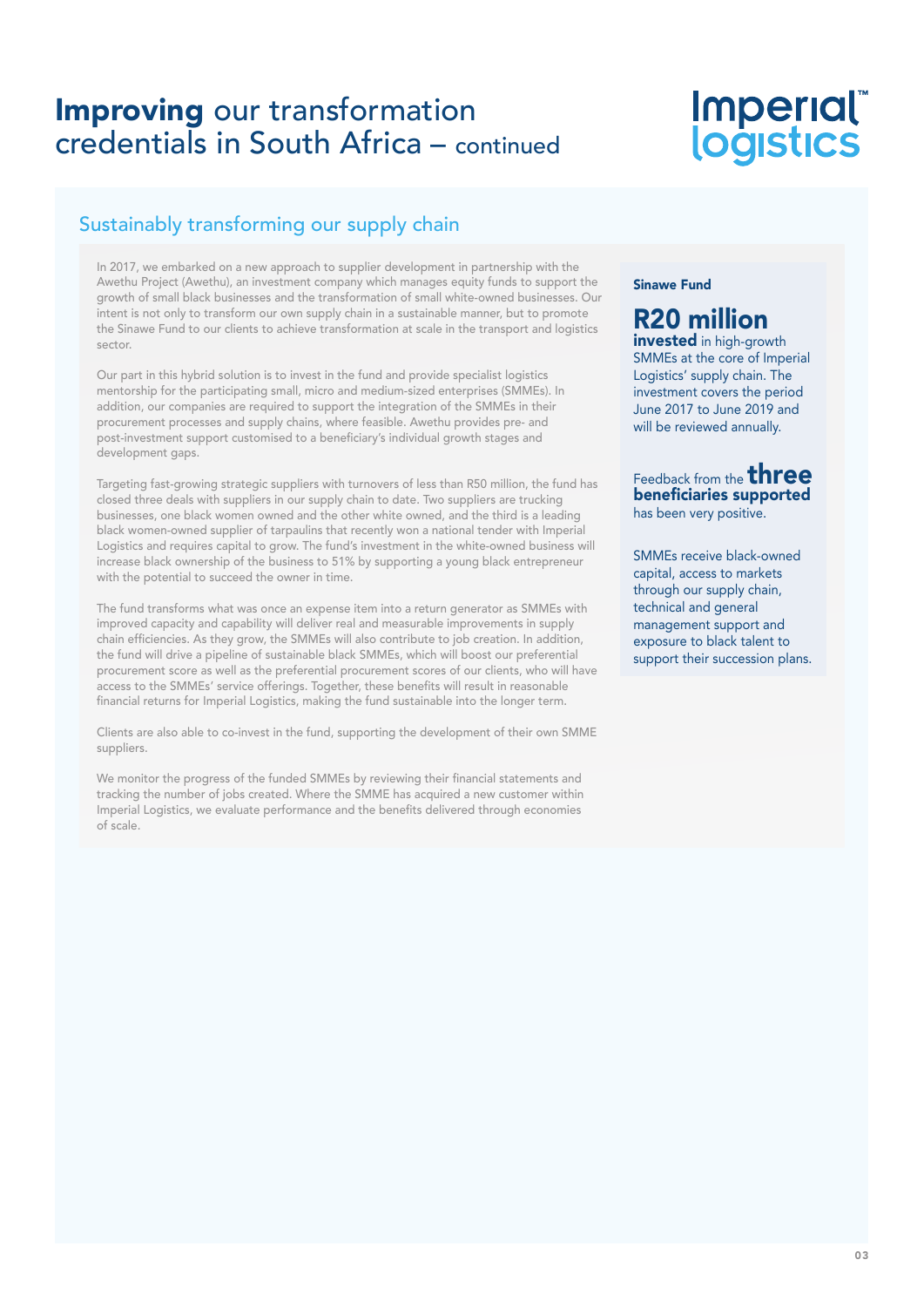# Imperial®<br>logistics

## Sustainably transforming our supply chain

In 2017, we embarked on a new approach to supplier development in partnership with the Awethu Project (Awethu), an investment company which manages equity funds to support the growth of small black businesses and the transformation of small white-owned businesses. Our intent is not only to transform our own supply chain in a sustainable manner, but to promote the Sinawe Fund to our clients to achieve transformation at scale in the transport and logistics sector.

Our part in this hybrid solution is to invest in the fund and provide specialist logistics mentorship for the participating small, micro and medium-sized enterprises (SMMEs). In addition, our companies are required to support the integration of the SMMEs in their procurement processes and supply chains, where feasible. Awethu provides pre- and post-investment support customised to a beneficiary's individual growth stages and development gaps.

Targeting fast-growing strategic suppliers with turnovers of less than R50 million, the fund has closed three deals with suppliers in our supply chain to date. Two suppliers are trucking businesses, one black women owned and the other white owned, and the third is a leading black women-owned supplier of tarpaulins that recently won a national tender with Imperial Logistics and requires capital to grow. The fund's investment in the white-owned business will increase black ownership of the business to 51% by supporting a young black entrepreneur with the potential to succeed the owner in time.

The fund transforms what was once an expense item into a return generator as SMMEs with improved capacity and capability will deliver real and measurable improvements in supply chain efficiencies. As they grow, the SMMEs will also contribute to job creation. In addition, the fund will drive a pipeline of sustainable black SMMEs, which will boost our preferential procurement score as well as the preferential procurement scores of our clients, who will have access to the SMMEs' service offerings. Together, these benefits will result in reasonable financial returns for Imperial Logistics, making the fund sustainable into the longer term.

Clients are also able to co-invest in the fund, supporting the development of their own SMME suppliers.

We monitor the progress of the funded SMMEs by reviewing their financial statements and tracking the number of jobs created. Where the SMME has acquired a new customer within Imperial Logistics, we evaluate performance and the benefits delivered through economies of scale.

#### Sinawe Fund

## R20 million

invested in high-growth SMMEs at the core of Imperial Logistics' supply chain. The investment covers the period June 2017 to June 2019 and will be reviewed annually.

#### Feedback from the **three** beneficiaries supported has been very positive.

SMMEs receive black-owned capital, access to markets through our supply chain, technical and general management support and exposure to black talent to support their succession plans.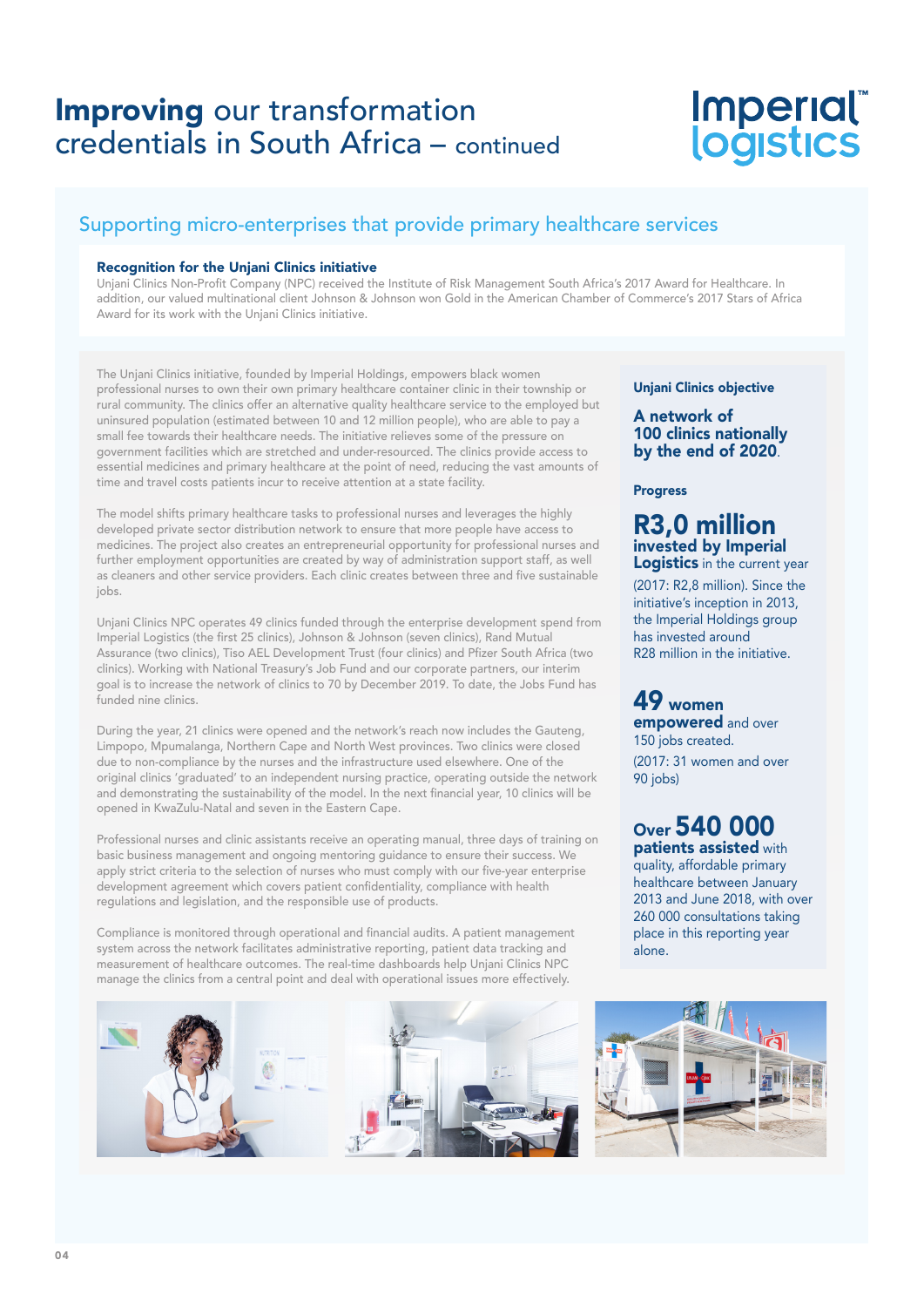# Imperial®<br>logistics

## Supporting micro-enterprises that provide primary healthcare services

#### Recognition for the Unjani Clinics initiative

Unjani Clinics Non-Profit Company (NPC) received the Institute of Risk Management South Africa's 2017 Award for Healthcare. In addition, our valued multinational client Johnson & Johnson won Gold in the American Chamber of Commerce's 2017 Stars of Africa Award for its work with the Unjani Clinics initiative.

The Unjani Clinics initiative, founded by Imperial Holdings, empowers black women professional nurses to own their own primary healthcare container clinic in their township or rural community. The clinics offer an alternative quality healthcare service to the employed but uninsured population (estimated between 10 and 12 million people), who are able to pay a small fee towards their healthcare needs. The initiative relieves some of the pressure on government facilities which are stretched and under-resourced. The clinics provide access to essential medicines and primary healthcare at the point of need, reducing the vast amounts of time and travel costs patients incur to receive attention at a state facility.

The model shifts primary healthcare tasks to professional nurses and leverages the highly developed private sector distribution network to ensure that more people have access to medicines. The project also creates an entrepreneurial opportunity for professional nurses and further employment opportunities are created by way of administration support staff, as well as cleaners and other service providers. Each clinic creates between three and five sustainable jobs.

Unjani Clinics NPC operates 49 clinics funded through the enterprise development spend from Imperial Logistics (the first 25 clinics), Johnson & Johnson (seven clinics), Rand Mutual Assurance (two clinics), Tiso AEL Development Trust (four clinics) and Pfizer South Africa (two clinics). Working with National Treasury's Job Fund and our corporate partners, our interim goal is to increase the network of clinics to 70 by December 2019. To date, the Jobs Fund has funded nine clinics.

During the year, 21 clinics were opened and the network's reach now includes the Gauteng, Limpopo, Mpumalanga, Northern Cape and North West provinces. Two clinics were closed due to non-compliance by the nurses and the infrastructure used elsewhere. One of the original clinics 'graduated' to an independent nursing practice, operating outside the network and demonstrating the sustainability of the model. In the next financial year, 10 clinics will be opened in KwaZulu-Natal and seven in the Eastern Cape.

Professional nurses and clinic assistants receive an operating manual, three days of training on basic business management and ongoing mentoring guidance to ensure their success. We apply strict criteria to the selection of nurses who must comply with our five-year enterprise development agreement which covers patient confidentiality, compliance with health regulations and legislation, and the responsible use of products.

Compliance is monitored through operational and financial audits. A patient management system across the network facilitates administrative reporting, patient data tracking and measurement of healthcare outcomes. The real-time dashboards help Unjani Clinics NPC manage the clinics from a central point and deal with operational issues more effectively.





#### Unjani Clinics objective

A network of 100 clinics nationally by the end of 2020.

#### **Progress**

#### R3,0 million invested by Imperial Logistics in the current year

(2017: R2,8 million). Since the initiative's inception in 2013, the Imperial Holdings group has invested around R28 million in the initiative.

#### 49 women empowered and over 150 jobs created.

(2017: 31 women and over 90 jobs)

### Over 540 000 patients assisted with

quality, affordable primary healthcare between January 2013 and June 2018, with over 260 000 consultations taking place in this reporting year alone.

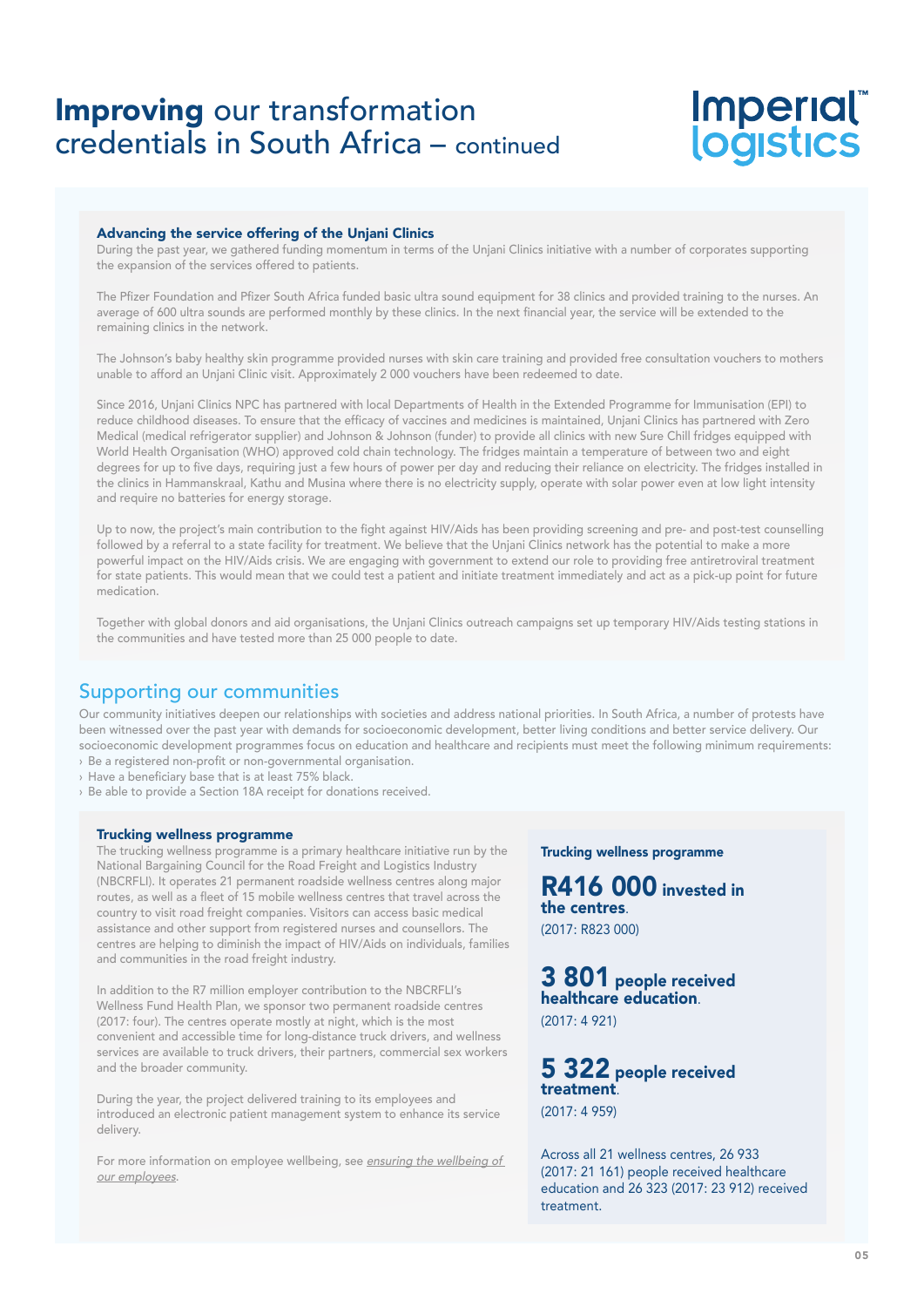# Imperial®<br>logistics

#### Advancing the service offering of the Unjani Clinics

During the past year, we gathered funding momentum in terms of the Unjani Clinics initiative with a number of corporates supporting the expansion of the services offered to patients.

The Pfizer Foundation and Pfizer South Africa funded basic ultra sound equipment for 38 clinics and provided training to the nurses. An average of 600 ultra sounds are performed monthly by these clinics. In the next financial year, the service will be extended to the remaining clinics in the network.

The Johnson's baby healthy skin programme provided nurses with skin care training and provided free consultation vouchers to mothers unable to afford an Unjani Clinic visit. Approximately 2 000 vouchers have been redeemed to date.

Since 2016, Unjani Clinics NPC has partnered with local Departments of Health in the Extended Programme for Immunisation (EPI) to reduce childhood diseases. To ensure that the efficacy of vaccines and medicines is maintained, Unjani Clinics has partnered with Zero Medical (medical refrigerator supplier) and Johnson & Johnson (funder) to provide all clinics with new Sure Chill fridges equipped with World Health Organisation (WHO) approved cold chain technology. The fridges maintain a temperature of between two and eight degrees for up to five days, requiring just a few hours of power per day and reducing their reliance on electricity. The fridges installed in the clinics in Hammanskraal, Kathu and Musina where there is no electricity supply, operate with solar power even at low light intensity and require no batteries for energy storage.

Up to now, the project's main contribution to the fight against HIV/Aids has been providing screening and pre- and post-test counselling followed by a referral to a state facility for treatment. We believe that the Unjani Clinics network has the potential to make a more powerful impact on the HIV/Aids crisis. We are engaging with government to extend our role to providing free antiretroviral treatment for state patients. This would mean that we could test a patient and initiate treatment immediately and act as a pick-up point for future medication.

Together with global donors and aid organisations, the Unjani Clinics outreach campaigns set up temporary HIV/Aids testing stations in the communities and have tested more than 25 000 people to date.

### Supporting our communities

Our community initiatives deepen our relationships with societies and address national priorities. In South Africa, a number of protests have been witnessed over the past year with demands for socioeconomic development, better living conditions and better service delivery. Our socioeconomic development programmes focus on education and healthcare and recipients must meet the following minimum requirements: › Be a registered non-profit or non-governmental organisation.

- › Have a beneficiary base that is at least 75% black.
- › Be able to provide a Section 18A receipt for donations received.

#### Trucking wellness programme

The trucking wellness programme is a primary healthcare initiative run by the National Bargaining Council for the Road Freight and Logistics Industry (NBCRFLI). It operates 21 permanent roadside wellness centres along major routes, as well as a fleet of 15 mobile wellness centres that travel across the country to visit road freight companies. Visitors can access basic medical assistance and other support from registered nurses and counsellors. The centres are helping to diminish the impact of HIV/Aids on individuals, families and communities in the road freight industry.

In addition to the R7 million employer contribution to the NBCRFLI's Wellness Fund Health Plan, we sponsor two permanent roadside centres (2017: four). The centres operate mostly at night, which is the most convenient and accessible time for long-distance truck drivers, and wellness services are available to truck drivers, their partners, commercial sex workers and the broader community.

During the year, the project delivered training to its employees and introduced an electronic patient management system to enhance its service delivery.

For more information on employee wellbeing, see ensuring the wellbeing of our employees.

Trucking wellness programme

R416 000 invested in the centres. (2017: R823 000)

3 801 people received healthcare education. (2017: 4 921)

5 322 people received treatment. (2017: 4 959)

Across all 21 wellness centres, 26 933 (2017: 21 161) people received healthcare education and 26 323 (2017: 23 912) received treatment.